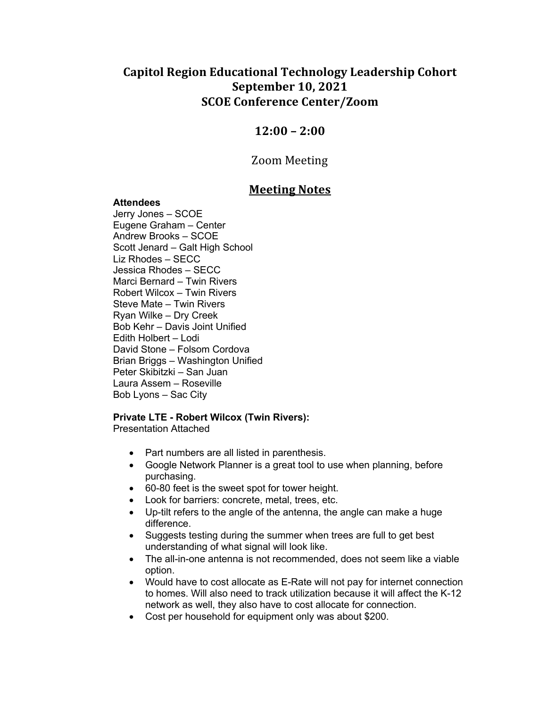# **Capitol Region Educational Technology Leadership Cohort September 10, 2021 SCOE Conference Center/Zoom**

# **12:00 – 2:00**

### Zoom Meeting

## **Meeting Notes**

#### **Attendees**

Jerry Jones – SCOE Eugene Graham – Center Andrew Brooks – SCOE Scott Jenard – Galt High School Liz Rhodes – SECC Jessica Rhodes – SECC Marci Bernard – Twin Rivers Robert Wilcox – Twin Rivers Steve Mate – Twin Rivers Ryan Wilke – Dry Creek Bob Kehr – Davis Joint Unified Edith Holbert – Lodi David Stone – Folsom Cordova Brian Briggs – Washington Unified Peter Skibitzki – San Juan Laura Assem – Roseville Bob Lyons – Sac City

#### **Private LTE - Robert Wilcox (Twin Rivers):**

Presentation Attached

- Part numbers are all listed in parenthesis.
- Google Network Planner is a great tool to use when planning, before purchasing.
- 60-80 feet is the sweet spot for tower height.
- Look for barriers: concrete, metal, trees, etc.
- Up-tilt refers to the angle of the antenna, the angle can make a huge difference.
- Suggests testing during the summer when trees are full to get best understanding of what signal will look like.
- The all-in-one antenna is not recommended, does not seem like a viable option.
- Would have to cost allocate as E-Rate will not pay for internet connection to homes. Will also need to track utilization because it will affect the K-12 network as well, they also have to cost allocate for connection.
- Cost per household for equipment only was about \$200.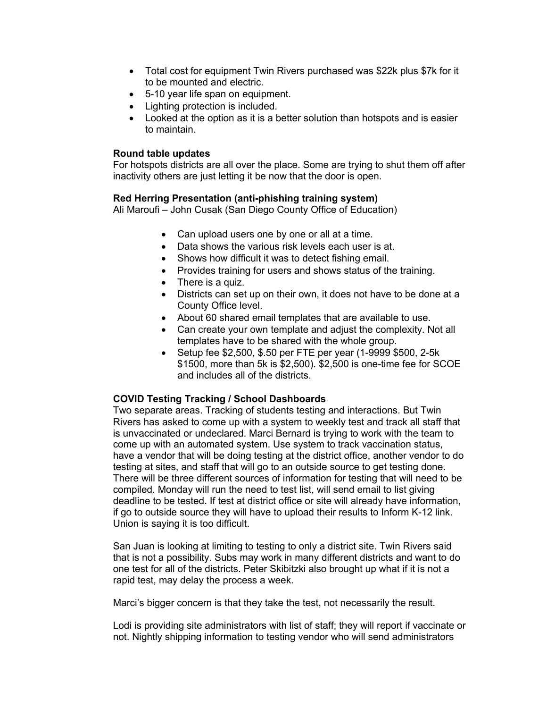- Total cost for equipment Twin Rivers purchased was \$22k plus \$7k for it to be mounted and electric.
- 5-10 year life span on equipment.
- Lighting protection is included.
- Looked at the option as it is a better solution than hotspots and is easier to maintain.

#### **Round table updates**

For hotspots districts are all over the place. Some are trying to shut them off after inactivity others are just letting it be now that the door is open.

#### **Red Herring Presentation (anti-phishing training system)**

Ali Maroufi – John Cusak (San Diego County Office of Education)

- Can upload users one by one or all at a time.
- Data shows the various risk levels each user is at.
- Shows how difficult it was to detect fishing email.
- Provides training for users and shows status of the training.
- There is a quiz.
- Districts can set up on their own, it does not have to be done at a County Office level.
- About 60 shared email templates that are available to use.
- Can create your own template and adjust the complexity. Not all templates have to be shared with the whole group.
- Setup fee \$2,500, \$.50 per FTE per year (1-9999 \$500, 2-5k \$1500, more than 5k is \$2,500). \$2,500 is one-time fee for SCOE and includes all of the districts.

#### **COVID Testing Tracking / School Dashboards**

Two separate areas. Tracking of students testing and interactions. But Twin Rivers has asked to come up with a system to weekly test and track all staff that is unvaccinated or undeclared. Marci Bernard is trying to work with the team to come up with an automated system. Use system to track vaccination status, have a vendor that will be doing testing at the district office, another vendor to do testing at sites, and staff that will go to an outside source to get testing done. There will be three different sources of information for testing that will need to be compiled. Monday will run the need to test list, will send email to list giving deadline to be tested. If test at district office or site will already have information, if go to outside source they will have to upload their results to Inform K-12 link. Union is saying it is too difficult.

San Juan is looking at limiting to testing to only a district site. Twin Rivers said that is not a possibility. Subs may work in many different districts and want to do one test for all of the districts. Peter Skibitzki also brought up what if it is not a rapid test, may delay the process a week.

Marci's bigger concern is that they take the test, not necessarily the result.

Lodi is providing site administrators with list of staff; they will report if vaccinate or not. Nightly shipping information to testing vendor who will send administrators